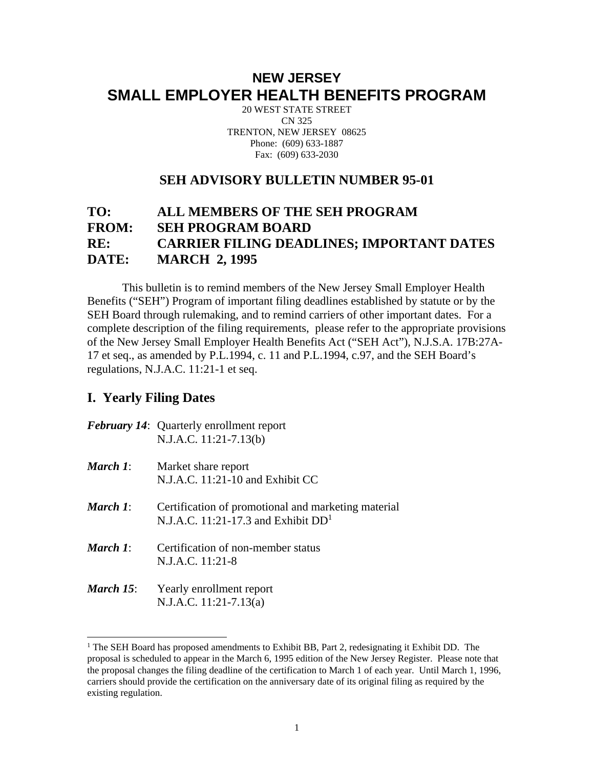# **NEW JERSEY SMALL EMPLOYER HEALTH BENEFITS PROGRAM**

20 WEST STATE STREET CN 325 TRENTON, NEW JERSEY 08625 Phone: (609) 633-1887 Fax: (609) 633-2030

#### **SEH ADVISORY BULLETIN NUMBER 95-01**

## **TO: ALL MEMBERS OF THE SEH PROGRAM FROM: SEH PROGRAM BOARD RE: CARRIER FILING DEADLINES; IMPORTANT DATES DATE: MARCH 2, 1995**

 This bulletin is to remind members of the New Jersey Small Employer Health Benefits ("SEH") Program of important filing deadlines established by statute or by the SEH Board through rulemaking, and to remind carriers of other important dates. For a complete description of the filing requirements, please refer to the appropriate provisions of the New Jersey Small Employer Health Benefits Act ("SEH Act"), N.J.S.A. 17B:27A-17 et seq., as amended by P.L.1994, c. 11 and P.L.1994, c.97, and the SEH Board's regulations, N.J.A.C. 11:21-1 et seq.

### **I. Yearly Filing Dates**

 $\overline{a}$ 

|           | <b>February 14:</b> Quarterly enrollment report<br>$N.J.A.C. 11:21-7.13(b)$                  |
|-----------|----------------------------------------------------------------------------------------------|
| March 1:  | Market share report<br>N.J.A.C. 11:21-10 and Exhibit CC                                      |
| March 1:  | Certification of promotional and marketing material<br>N.J.A.C. 11:21-17.3 and Exhibit $DD1$ |
| March 1:  | Certification of non-member status<br>N.J.A.C. 11:21-8                                       |
| March 15: | Yearly enrollment report<br>N.J.A.C. $11:21-7.13(a)$                                         |

<sup>&</sup>lt;sup>1</sup> The SEH Board has proposed amendments to Exhibit BB, Part 2, redesignating it Exhibit DD. The proposal is scheduled to appear in the March 6, 1995 edition of the New Jersey Register. Please note that the proposal changes the filing deadline of the certification to March 1 of each year. Until March 1, 1996, carriers should provide the certification on the anniversary date of its original filing as required by the existing regulation.